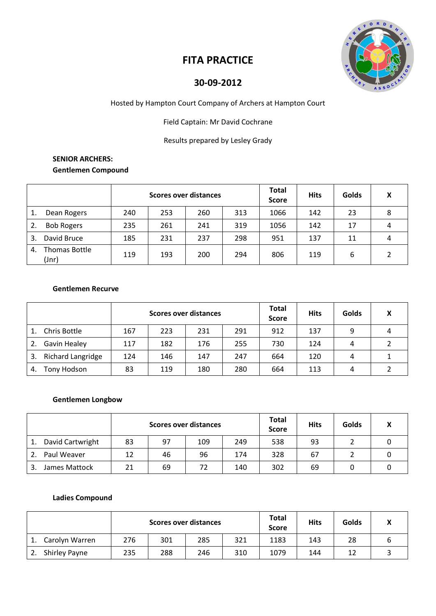

# **FITA PRACTICE**

## **30-09-2012**

Hosted by Hampton Court Company of Archers at Hampton Court

Field Captain: Mr David Cochrane

Results prepared by Lesley Grady

## **SENIOR ARCHERS: Gentlemen Compound**

|                              | Scores over distances |     |     |     | <b>Total</b><br><b>Score</b> | <b>Hits</b> | Golds | v |
|------------------------------|-----------------------|-----|-----|-----|------------------------------|-------------|-------|---|
| Dean Rogers<br>1.            | 240                   | 253 | 260 | 313 | 1066                         | 142         | 23    | 8 |
| <b>Bob Rogers</b>            | 235                   | 261 | 241 | 319 | 1056                         | 142         | 17    | 4 |
| David Bruce<br>3.            | 185                   | 231 | 237 | 298 | 951                          | 137         | 11    | 4 |
| Thomas Bottle<br>4.<br>(Jnr) | 119                   | 193 | 200 | 294 | 806                          | 119         | 6     |   |

#### **Gentlemen Recurve**

|    |                   | <b>Scores over distances</b> |     |     |     | <b>Total</b><br><b>Score</b> | <b>Hits</b> | Golds | χ |
|----|-------------------|------------------------------|-----|-----|-----|------------------------------|-------------|-------|---|
|    | Chris Bottle      | 167                          | 223 | 231 | 291 | 912                          | 137         | 9     | 4 |
|    | Gavin Healey      | 117                          | 182 | 176 | 255 | 730                          | 124         | 4     |   |
| 3. | Richard Langridge | 124                          | 146 | 147 | 247 | 664                          | 120         | 4     |   |
| 4. | Tony Hodson       | 83                           | 119 | 180 | 280 | 664                          | 113         | 4     |   |

#### **Gentlemen Longbow**

|                  | <b>Scores over distances</b> |    |     |     | <b>Total</b><br><b>Score</b> | <b>Hits</b> | Golds |  |
|------------------|------------------------------|----|-----|-----|------------------------------|-------------|-------|--|
| David Cartwright | 83                           | 97 | 109 | 249 | 538                          | 93          |       |  |
| Paul Weaver      | 12                           | 46 | 96  | 174 | 328                          | 67          |       |  |
| James Mattock    | 21                           | 69 | 72  | 140 | 302                          | 69          |       |  |

#### **Ladies Compound**

|                      | <b>Scores over distances</b> |     |     |     | <b>Total</b><br><b>Score</b> | <b>Hits</b> | Golds |  |
|----------------------|------------------------------|-----|-----|-----|------------------------------|-------------|-------|--|
| Carolyn Warren       | 276                          | 301 | 285 | 321 | 1183                         | 143         | 28    |  |
| <b>Shirley Payne</b> | 235                          | 288 | 246 | 310 | 1079                         | 144         | 12    |  |